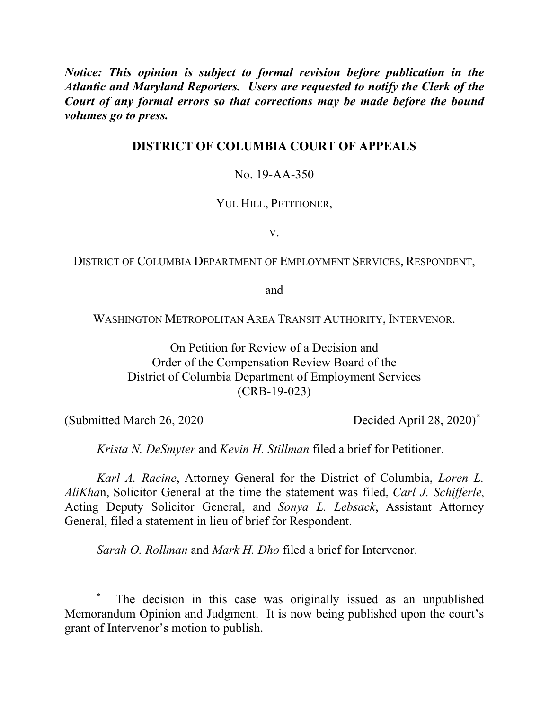*Notice: This opinion is subject to formal revision before publication in the Atlantic and Maryland Reporters. Users are requested to notify the Clerk of the Court of any formal errors so that corrections may be made before the bound volumes go to press.* 

## **DISTRICT OF COLUMBIA COURT OF APPEALS**

## No. 19-AA-350

### YUL HILL, PETITIONER,

V.

### DISTRICT OF COLUMBIA DEPARTMENT OF EMPLOYMENT SERVICES, RESPONDENT,

and

WASHINGTON METROPOLITAN AREA TRANSIT AUTHORITY, INTERVENOR.

On Petition for Review of a Decision and Order of the Compensation Review Board of the District of Columbia Department of Employment Services (CRB-19-023)

(Submitted March 26, 2020)<sup>\*</sup> Decided April 28, 2020)<sup>\*</sup>

*Krista N. DeSmyter* and *Kevin H. Stillman* filed a brief for Petitioner.

*Karl A. Racine*, Attorney General for the District of Columbia, *Loren L. AliKha*n, Solicitor General at the time the statement was filed, *Carl J. Schifferle*, Acting Deputy Solicitor General, and *Sonya L. Lebsack*, Assistant Attorney General, filed a statement in lieu of brief for Respondent.

*Sarah O. Rollman* and *Mark H. Dho* filed a brief for Intervenor.

 <sup>\*</sup> The decision in this case was originally issued as an unpublished Memorandum Opinion and Judgment. It is now being published upon the court's grant of Intervenor's motion to publish.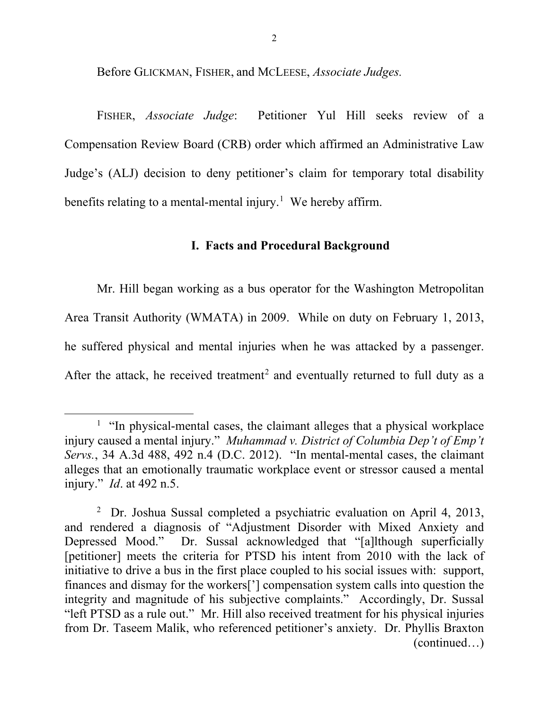Before GLICKMAN, FISHER, and MCLEESE, *Associate Judges.*

FISHER, *Associate Judge*: Petitioner Yul Hill seeks review of a Compensation Review Board (CRB) order which affirmed an Administrative Law Judge's (ALJ) decision to deny petitioner's claim for temporary total disability benefits relating to a mental-mental injury.<sup>1</sup> We hereby affirm.

### **I. Facts and Procedural Background**

Mr. Hill began working as a bus operator for the Washington Metropolitan Area Transit Authority (WMATA) in 2009. While on duty on February 1, 2013, he suffered physical and mental injuries when he was attacked by a passenger. After the attack, he received treatment<sup>2</sup> and eventually returned to full duty as a

 $\overline{\phantom{a}}$  $<sup>1</sup>$  "In physical-mental cases, the claimant alleges that a physical workplace</sup> injury caused a mental injury." *Muhammad v. District of Columbia Dep't of Emp't Servs.*, 34 A.3d 488, 492 n.4 (D.C. 2012). "In mental-mental cases, the claimant alleges that an emotionally traumatic workplace event or stressor caused a mental injury." *Id*. at 492 n.5.

<sup>&</sup>lt;sup>2</sup> Dr. Joshua Sussal completed a psychiatric evaluation on April 4, 2013, and rendered a diagnosis of "Adjustment Disorder with Mixed Anxiety and Depressed Mood." Dr. Sussal acknowledged that "[a]lthough superficially [petitioner] meets the criteria for PTSD his intent from 2010 with the lack of initiative to drive a bus in the first place coupled to his social issues with: support, finances and dismay for the workers['] compensation system calls into question the integrity and magnitude of his subjective complaints." Accordingly, Dr. Sussal "left PTSD as a rule out." Mr. Hill also received treatment for his physical injuries from Dr. Taseem Malik, who referenced petitioner's anxiety. Dr. Phyllis Braxton (continued…)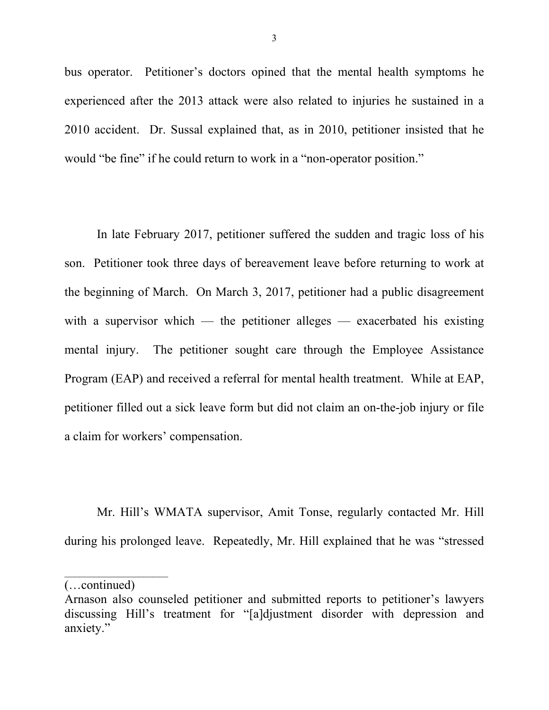bus operator. Petitioner's doctors opined that the mental health symptoms he experienced after the 2013 attack were also related to injuries he sustained in a 2010 accident. Dr. Sussal explained that, as in 2010, petitioner insisted that he would "be fine" if he could return to work in a "non-operator position."

In late February 2017, petitioner suffered the sudden and tragic loss of his son. Petitioner took three days of bereavement leave before returning to work at the beginning of March. On March 3, 2017, petitioner had a public disagreement with a supervisor which — the petitioner alleges — exacerbated his existing mental injury. The petitioner sought care through the Employee Assistance Program (EAP) and received a referral for mental health treatment. While at EAP, petitioner filled out a sick leave form but did not claim an on-the-job injury or file a claim for workers' compensation.

Mr. Hill's WMATA supervisor, Amit Tonse, regularly contacted Mr. Hill during his prolonged leave. Repeatedly, Mr. Hill explained that he was "stressed

 $\mathcal{L}_\text{max}$  , where  $\mathcal{L}_\text{max}$ 

<sup>(…</sup>continued)

Arnason also counseled petitioner and submitted reports to petitioner's lawyers discussing Hill's treatment for "[a]djustment disorder with depression and anxiety."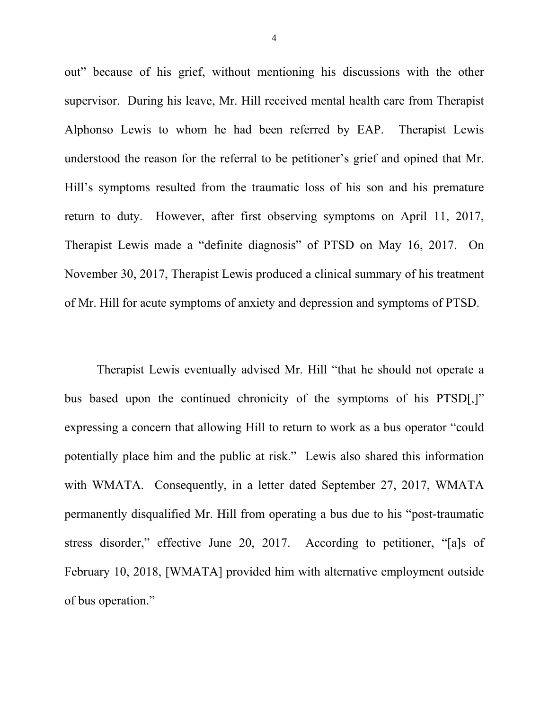out" because of his grief, without mentioning his discussions with the other supervisor. During his leave, Mr. Hill received mental health care from Therapist Alphonso Lewis to whom he had been referred by EAP. Therapist Lewis understood the reason for the referral to be petitioner's grief and opined that Mr. Hill's symptoms resulted from the traumatic loss of his son and his premature return to duty. However, after first observing symptoms on April 11, 2017, Therapist Lewis made a "definite diagnosis" of PTSD on May 16, 2017. On November 30, 2017, Therapist Lewis produced a clinical summary of his treatment of Mr. Hill for acute symptoms of anxiety and depression and symptoms of PTSD.

Therapist Lewis eventually advised Mr. Hill "that he should not operate a bus based upon the continued chronicity of the symptoms of his PTSD[,]" expressing a concern that allowing Hill to return to work as a bus operator "could potentially place him and the public at risk." Lewis also shared this information with WMATA. Consequently, in a letter dated September 27, 2017, WMATA permanently disqualified Mr. Hill from operating a bus due to his "post-traumatic stress disorder," effective June 20, 2017. According to petitioner, "[a]s of February 10, 2018, [WMATA] provided him with alternative employment outside of bus operation."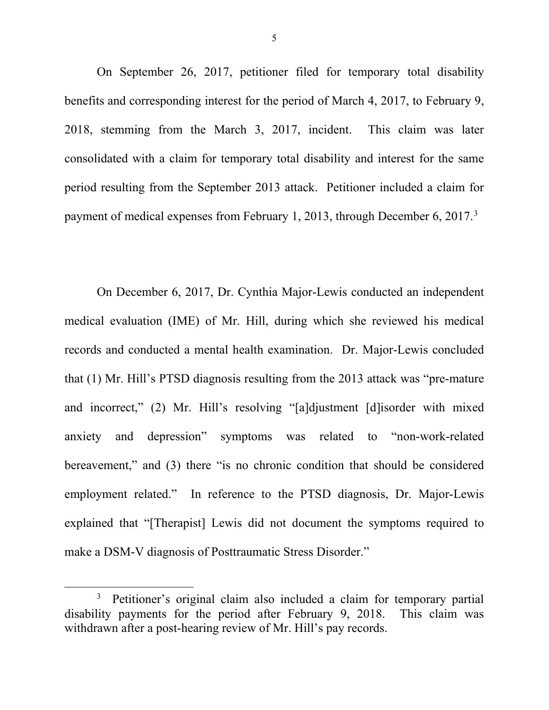On September 26, 2017, petitioner filed for temporary total disability benefits and corresponding interest for the period of March 4, 2017, to February 9, 2018, stemming from the March 3, 2017, incident. This claim was later consolidated with a claim for temporary total disability and interest for the same period resulting from the September 2013 attack. Petitioner included a claim for payment of medical expenses from February 1, 2013, through December 6, 2017.<sup>3</sup>

On December 6, 2017, Dr. Cynthia Major-Lewis conducted an independent medical evaluation (IME) of Mr. Hill, during which she reviewed his medical records and conducted a mental health examination. Dr. Major-Lewis concluded that (1) Mr. Hill's PTSD diagnosis resulting from the 2013 attack was "pre-mature and incorrect," (2) Mr. Hill's resolving "[a]djustment [d]isorder with mixed anxiety and depression" symptoms was related to "non-work-related bereavement," and (3) there "is no chronic condition that should be considered employment related." In reference to the PTSD diagnosis, Dr. Major-Lewis explained that "[Therapist] Lewis did not document the symptoms required to make a DSM-V diagnosis of Posttraumatic Stress Disorder."

<sup>&</sup>lt;sup>3</sup> Petitioner's original claim also included a claim for temporary partial disability payments for the period after February 9, 2018. This claim was withdrawn after a post-hearing review of Mr. Hill's pay records.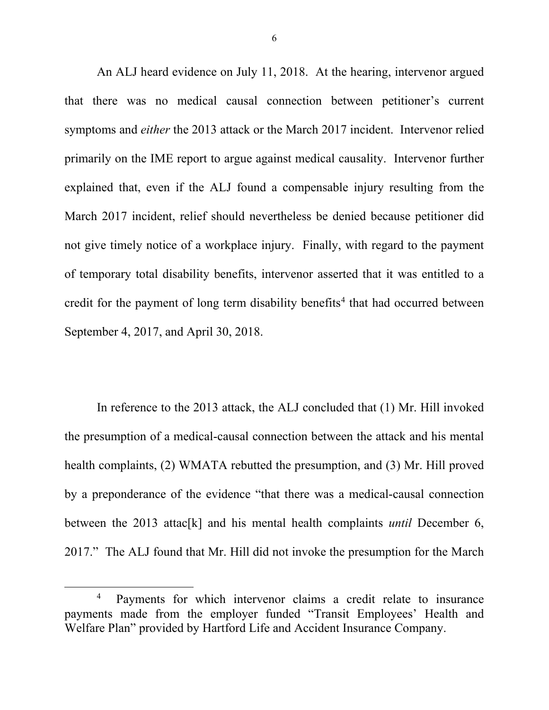An ALJ heard evidence on July 11, 2018. At the hearing, intervenor argued that there was no medical causal connection between petitioner's current symptoms and *either* the 2013 attack or the March 2017 incident. Intervenor relied primarily on the IME report to argue against medical causality. Intervenor further explained that, even if the ALJ found a compensable injury resulting from the March 2017 incident, relief should nevertheless be denied because petitioner did not give timely notice of a workplace injury. Finally, with regard to the payment of temporary total disability benefits, intervenor asserted that it was entitled to a credit for the payment of long term disability benefits<sup>4</sup> that had occurred between September 4, 2017, and April 30, 2018.

In reference to the 2013 attack, the ALJ concluded that (1) Mr. Hill invoked the presumption of a medical-causal connection between the attack and his mental health complaints, (2) WMATA rebutted the presumption, and (3) Mr. Hill proved by a preponderance of the evidence "that there was a medical-causal connection between the 2013 attac[k] and his mental health complaints *until* December 6, 2017." The ALJ found that Mr. Hill did not invoke the presumption for the March

 $\overline{4}$  Payments for which intervenor claims a credit relate to insurance payments made from the employer funded "Transit Employees' Health and Welfare Plan" provided by Hartford Life and Accident Insurance Company.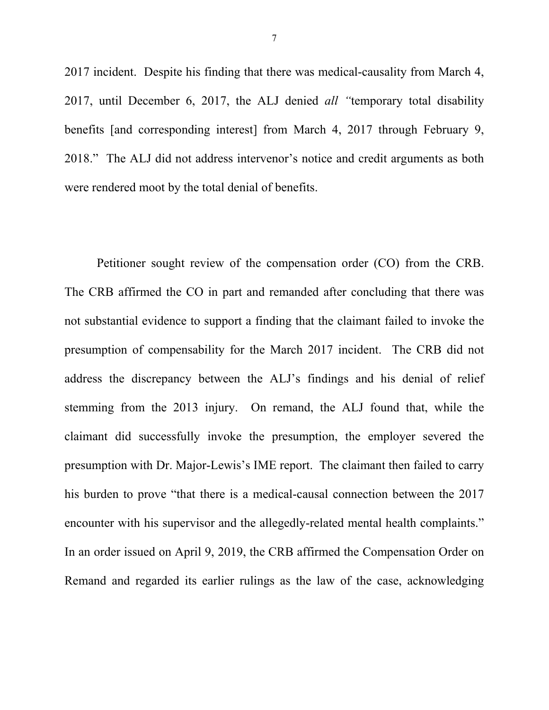2017 incident. Despite his finding that there was medical-causality from March 4, 2017, until December 6, 2017, the ALJ denied *all "*temporary total disability benefits [and corresponding interest] from March 4, 2017 through February 9, 2018." The ALJ did not address intervenor's notice and credit arguments as both were rendered moot by the total denial of benefits.

Petitioner sought review of the compensation order (CO) from the CRB. The CRB affirmed the CO in part and remanded after concluding that there was not substantial evidence to support a finding that the claimant failed to invoke the presumption of compensability for the March 2017 incident. The CRB did not address the discrepancy between the ALJ's findings and his denial of relief stemming from the 2013 injury. On remand, the ALJ found that, while the claimant did successfully invoke the presumption, the employer severed the presumption with Dr. Major-Lewis's IME report. The claimant then failed to carry his burden to prove "that there is a medical-causal connection between the 2017 encounter with his supervisor and the allegedly-related mental health complaints." In an order issued on April 9, 2019, the CRB affirmed the Compensation Order on Remand and regarded its earlier rulings as the law of the case, acknowledging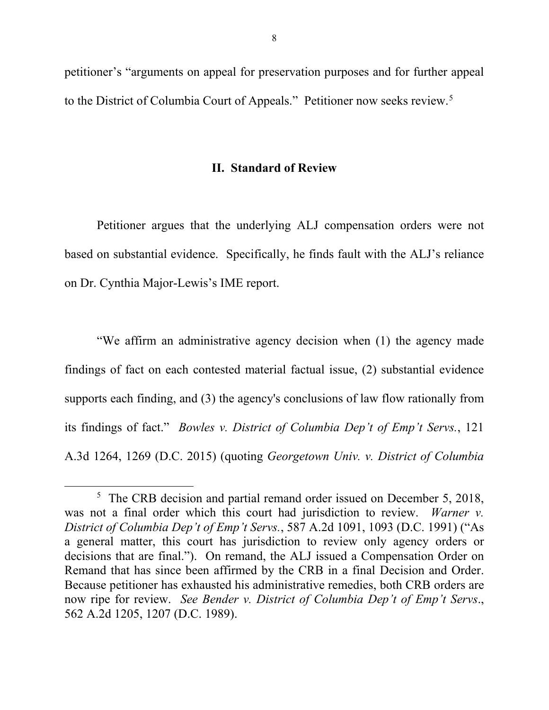petitioner's "arguments on appeal for preservation purposes and for further appeal to the District of Columbia Court of Appeals." Petitioner now seeks review. 5

### **II. Standard of Review**

Petitioner argues that the underlying ALJ compensation orders were not based on substantial evidence. Specifically, he finds fault with the ALJ's reliance on Dr. Cynthia Major-Lewis's IME report.

"We affirm an administrative agency decision when (1) the agency made findings of fact on each contested material factual issue, (2) substantial evidence supports each finding, and (3) the agency's conclusions of law flow rationally from its findings of fact." *Bowles v. District of Columbia Dep't of Emp't Servs.*, 121 A.3d 1264, 1269 (D.C. 2015) (quoting *Georgetown Univ. v. District of Columbia* 

<sup>&</sup>lt;sup>5</sup> The CRB decision and partial remand order issued on December 5, 2018, was not a final order which this court had jurisdiction to review. *Warner v. District of Columbia Dep't of Emp't Servs.*, 587 A.2d 1091, 1093 (D.C. 1991) ("As a general matter, this court has jurisdiction to review only agency orders or decisions that are final."). On remand, the ALJ issued a Compensation Order on Remand that has since been affirmed by the CRB in a final Decision and Order. Because petitioner has exhausted his administrative remedies, both CRB orders are now ripe for review. *See Bender v. District of Columbia Dep't of Emp't Servs*., 562 A.2d 1205, 1207 (D.C. 1989).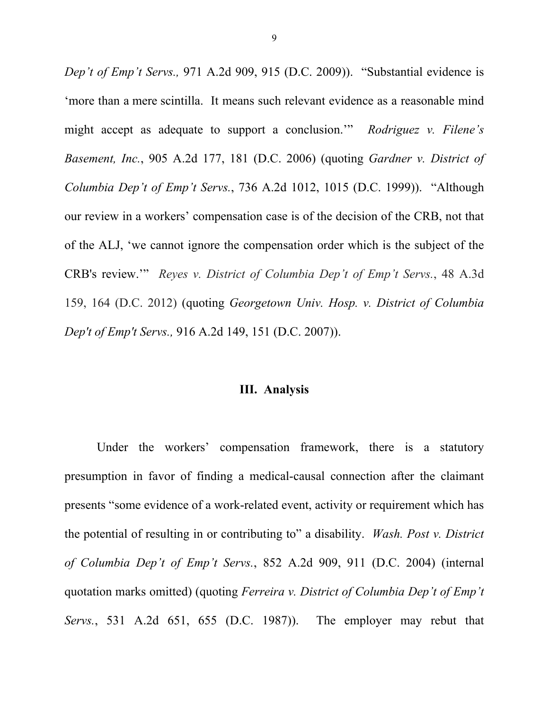*Dep't of Emp't Servs.,* 971 A.2d 909, 915 (D.C. 2009)). "Substantial evidence is 'more than a mere scintilla. It means such relevant evidence as a reasonable mind might accept as adequate to support a conclusion.'" *Rodriguez v. Filene's Basement, Inc.*, 905 A.2d 177, 181 (D.C. 2006) (quoting *Gardner v. District of Columbia Dep't of Emp't Servs.*, 736 A.2d 1012, 1015 (D.C. 1999)). "Although our review in a workers' compensation case is of the decision of the CRB, not that of the ALJ, 'we cannot ignore the compensation order which is the subject of the CRB's review.'" *Reyes v. District of Columbia Dep't of Emp't Servs.*, 48 A.3d 159, 164 (D.C. 2012) (quoting *Georgetown Univ. Hosp. v. District of Columbia Dep't of Emp't Servs.,* 916 A.2d 149, 151 (D.C. 2007)).

### **III. Analysis**

Under the workers' compensation framework, there is a statutory presumption in favor of finding a medical-causal connection after the claimant presents "some evidence of a work-related event, activity or requirement which has the potential of resulting in or contributing to" a disability. *Wash. Post v. District of Columbia Dep't of Emp't Servs.*, 852 A.2d 909, 911 (D.C. 2004) (internal quotation marks omitted) (quoting *Ferreira v. District of Columbia Dep't of Emp't Servs.*, 531 A.2d 651, 655 (D.C. 1987)). The employer may rebut that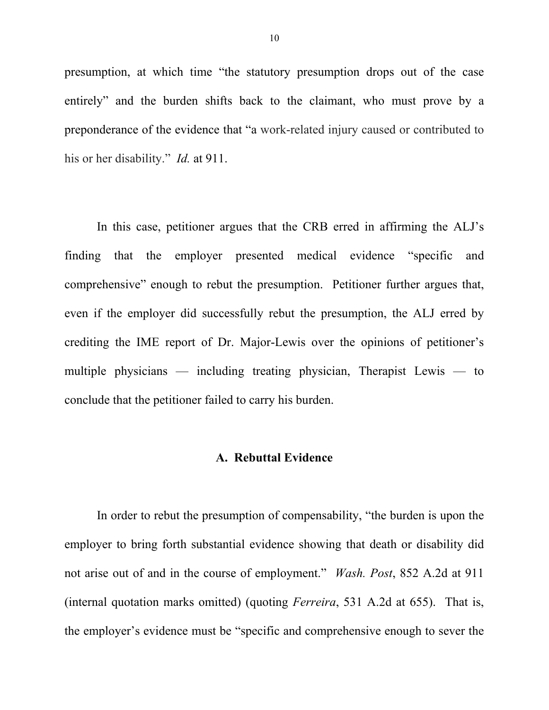presumption, at which time "the statutory presumption drops out of the case entirely" and the burden shifts back to the claimant, who must prove by a preponderance of the evidence that "a work-related injury caused or contributed to his or her disability." *Id.* at 911.

In this case, petitioner argues that the CRB erred in affirming the ALJ's finding that the employer presented medical evidence "specific and comprehensive" enough to rebut the presumption. Petitioner further argues that, even if the employer did successfully rebut the presumption, the ALJ erred by crediting the IME report of Dr. Major-Lewis over the opinions of petitioner's multiple physicians — including treating physician, Therapist Lewis — to conclude that the petitioner failed to carry his burden.

#### **A. Rebuttal Evidence**

In order to rebut the presumption of compensability, "the burden is upon the employer to bring forth substantial evidence showing that death or disability did not arise out of and in the course of employment." *Wash. Post*, 852 A.2d at 911 (internal quotation marks omitted) (quoting *Ferreira*, 531 A.2d at 655). That is, the employer's evidence must be "specific and comprehensive enough to sever the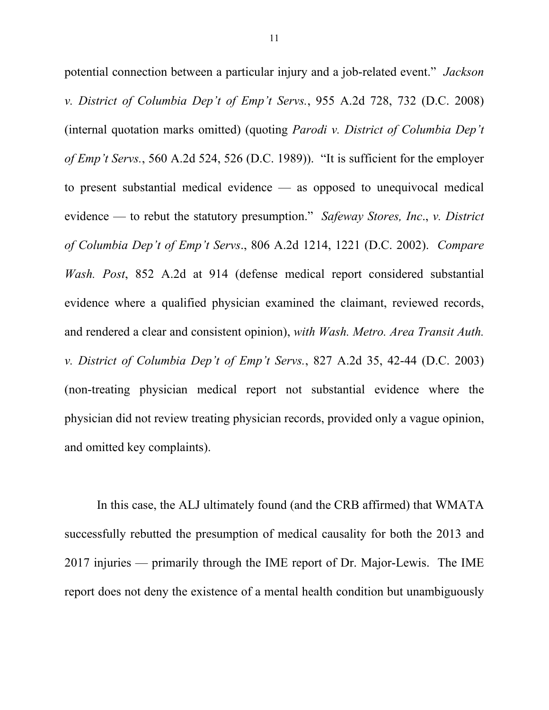potential connection between a particular injury and a job-related event." *Jackson v. District of Columbia Dep't of Emp't Servs.*, 955 A.2d 728, 732 (D.C. 2008) (internal quotation marks omitted) (quoting *Parodi v. District of Columbia Dep't of Emp't Servs.*, 560 A.2d 524, 526 (D.C. 1989)). "It is sufficient for the employer to present substantial medical evidence — as opposed to unequivocal medical evidence — to rebut the statutory presumption." *Safeway Stores, Inc*., *v. District of Columbia Dep't of Emp't Servs*., 806 A.2d 1214, 1221 (D.C. 2002). *Compare Wash. Post*, 852 A.2d at 914 (defense medical report considered substantial evidence where a qualified physician examined the claimant, reviewed records, and rendered a clear and consistent opinion), *with Wash. Metro. Area Transit Auth. v. District of Columbia Dep't of Emp't Servs.*, 827 A.2d 35, 42-44 (D.C. 2003) (non-treating physician medical report not substantial evidence where the physician did not review treating physician records, provided only a vague opinion, and omitted key complaints).

In this case, the ALJ ultimately found (and the CRB affirmed) that WMATA successfully rebutted the presumption of medical causality for both the 2013 and 2017 injuries — primarily through the IME report of Dr. Major-Lewis. The IME report does not deny the existence of a mental health condition but unambiguously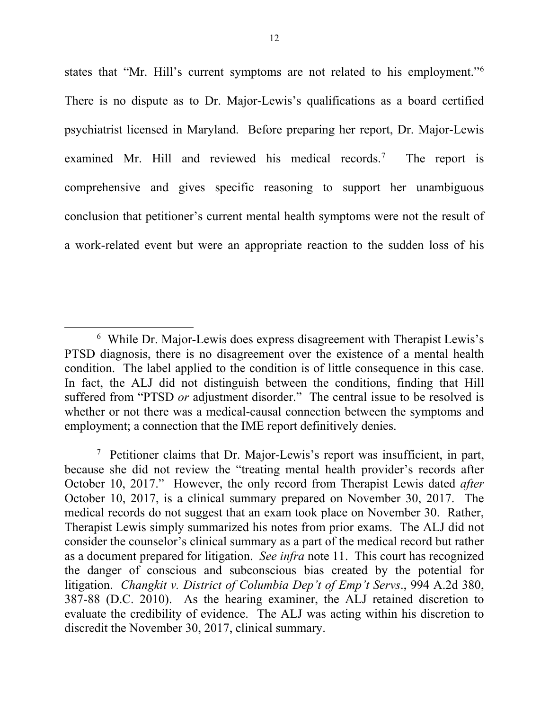states that "Mr. Hill's current symptoms are not related to his employment."6 There is no dispute as to Dr. Major-Lewis's qualifications as a board certified psychiatrist licensed in Maryland. Before preparing her report, Dr. Major-Lewis examined Mr. Hill and reviewed his medical records.<sup>7</sup> The report is comprehensive and gives specific reasoning to support her unambiguous conclusion that petitioner's current mental health symptoms were not the result of a work-related event but were an appropriate reaction to the sudden loss of his

 <sup>6</sup> While Dr. Major-Lewis does express disagreement with Therapist Lewis's PTSD diagnosis, there is no disagreement over the existence of a mental health condition. The label applied to the condition is of little consequence in this case. In fact, the ALJ did not distinguish between the conditions, finding that Hill suffered from "PTSD *or* adjustment disorder." The central issue to be resolved is whether or not there was a medical-causal connection between the symptoms and employment; a connection that the IME report definitively denies.

<sup>&</sup>lt;sup>7</sup> Petitioner claims that Dr. Major-Lewis's report was insufficient, in part, because she did not review the "treating mental health provider's records after October 10, 2017." However, the only record from Therapist Lewis dated *after*  October 10, 2017, is a clinical summary prepared on November 30, 2017. The medical records do not suggest that an exam took place on November 30. Rather, Therapist Lewis simply summarized his notes from prior exams. The ALJ did not consider the counselor's clinical summary as a part of the medical record but rather as a document prepared for litigation. *See infra* note 11. This court has recognized the danger of conscious and subconscious bias created by the potential for litigation. *Changkit v. District of Columbia Dep't of Emp't Servs*., 994 A.2d 380, 387-88 (D.C. 2010). As the hearing examiner, the ALJ retained discretion to evaluate the credibility of evidence. The ALJ was acting within his discretion to discredit the November 30, 2017, clinical summary.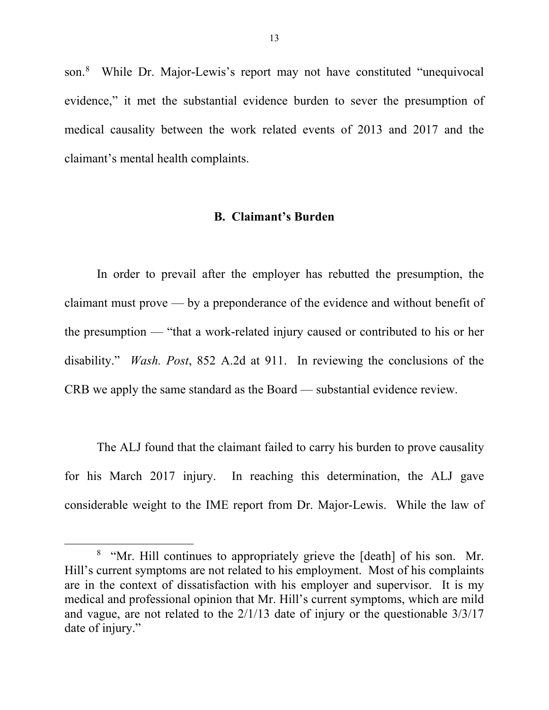son. 8 While Dr. Major-Lewis's report may not have constituted "unequivocal evidence," it met the substantial evidence burden to sever the presumption of medical causality between the work related events of 2013 and 2017 and the claimant's mental health complaints.

#### **B. Claimant's Burden**

In order to prevail after the employer has rebutted the presumption, the claimant must prove — by a preponderance of the evidence and without benefit of the presumption — "that a work-related injury caused or contributed to his or her disability." *Wash. Post*, 852 A.2d at 911. In reviewing the conclusions of the CRB we apply the same standard as the Board — substantial evidence review.

The ALJ found that the claimant failed to carry his burden to prove causality for his March 2017 injury. In reaching this determination, the ALJ gave considerable weight to the IME report from Dr. Major-Lewis. While the law of

 <sup>8</sup> <sup>8</sup> "Mr. Hill continues to appropriately grieve the [death] of his son. Mr. Hill's current symptoms are not related to his employment. Most of his complaints are in the context of dissatisfaction with his employer and supervisor. It is my medical and professional opinion that Mr. Hill's current symptoms, which are mild and vague, are not related to the 2/1/13 date of injury or the questionable 3/3/17 date of injury."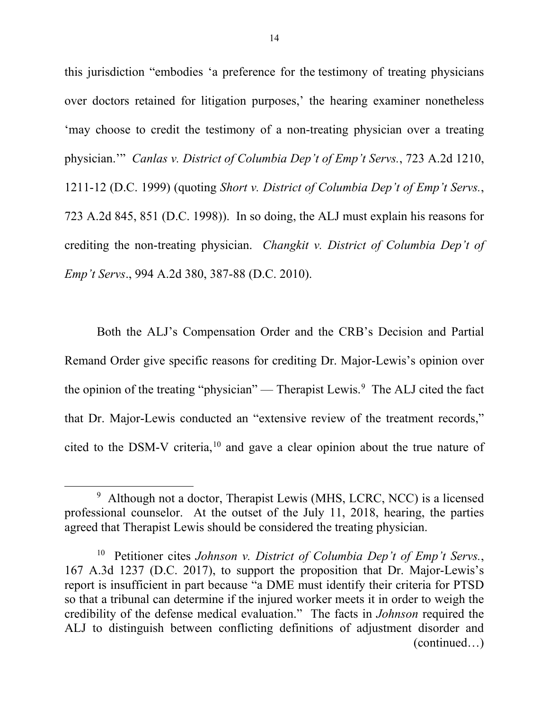this jurisdiction "embodies 'a preference for the testimony of treating physicians over doctors retained for litigation purposes,' the hearing examiner nonetheless 'may choose to credit the testimony of a non-treating physician over a treating physician.'" *Canlas v. District of Columbia Dep't of Emp't Servs.*, 723 A.2d 1210, 1211-12 (D.C. 1999) (quoting *Short v. District of Columbia Dep't of Emp't Servs.*, 723 A.2d 845, 851 (D.C. 1998)). In so doing, the ALJ must explain his reasons for crediting the non-treating physician. *Changkit v. District of Columbia Dep't of Emp't Servs*., 994 A.2d 380, 387-88 (D.C. 2010).

Both the ALJ's Compensation Order and the CRB's Decision and Partial Remand Order give specific reasons for crediting Dr. Major-Lewis's opinion over the opinion of the treating "physician" — Therapist Lewis.<sup>9</sup> The ALJ cited the fact that Dr. Major-Lewis conducted an "extensive review of the treatment records," cited to the DSM-V criteria,  $10$  and gave a clear opinion about the true nature of

 <sup>9</sup> <sup>9</sup> Although not a doctor, Therapist Lewis (MHS, LCRC, NCC) is a licensed professional counselor. At the outset of the July 11, 2018, hearing, the parties agreed that Therapist Lewis should be considered the treating physician.

<sup>10</sup> Petitioner cites *Johnson v. District of Columbia Dep't of Emp't Servs.*, 167 A.3d 1237 (D.C. 2017), to support the proposition that Dr. Major-Lewis's report is insufficient in part because "a DME must identify their criteria for PTSD so that a tribunal can determine if the injured worker meets it in order to weigh the credibility of the defense medical evaluation." The facts in *Johnson* required the ALJ to distinguish between conflicting definitions of adjustment disorder and (continued…)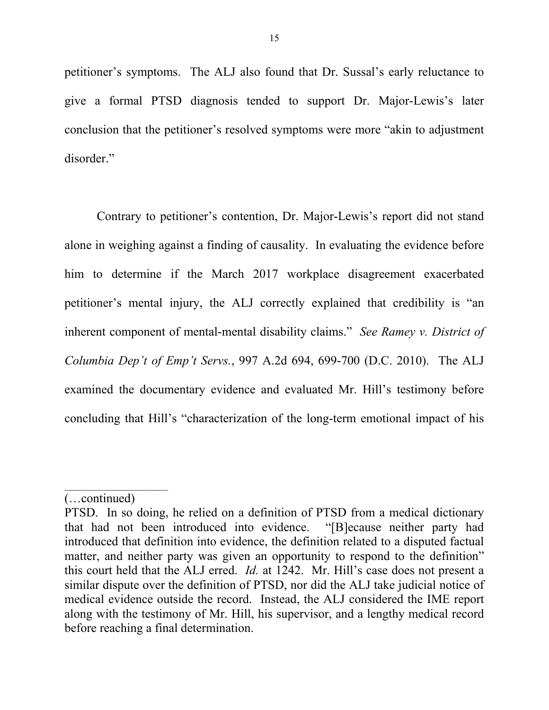petitioner's symptoms. The ALJ also found that Dr. Sussal's early reluctance to give a formal PTSD diagnosis tended to support Dr. Major-Lewis's later conclusion that the petitioner's resolved symptoms were more "akin to adjustment disorder."

Contrary to petitioner's contention, Dr. Major-Lewis's report did not stand alone in weighing against a finding of causality. In evaluating the evidence before him to determine if the March 2017 workplace disagreement exacerbated petitioner's mental injury, the ALJ correctly explained that credibility is "an inherent component of mental-mental disability claims." *See Ramey v. District of Columbia Dep't of Emp't Servs.*, 997 A.2d 694, 699-700 (D.C. 2010). The ALJ examined the documentary evidence and evaluated Mr. Hill's testimony before concluding that Hill's "characterization of the long-term emotional impact of his

 $\mathcal{L}_\text{max}$  , where  $\mathcal{L}_\text{max}$ 

<sup>(…</sup>continued)

PTSD. In so doing, he relied on a definition of PTSD from a medical dictionary that had not been introduced into evidence. "[B]ecause neither party had introduced that definition into evidence, the definition related to a disputed factual matter, and neither party was given an opportunity to respond to the definition" this court held that the ALJ erred. *Id.* at 1242. Mr. Hill's case does not present a similar dispute over the definition of PTSD, nor did the ALJ take judicial notice of medical evidence outside the record. Instead, the ALJ considered the IME report along with the testimony of Mr. Hill, his supervisor, and a lengthy medical record before reaching a final determination.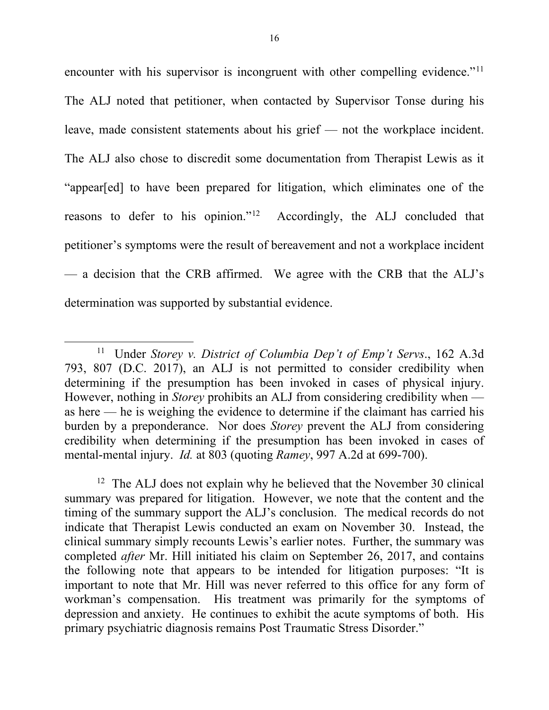encounter with his supervisor is incongruent with other compelling evidence."<sup>11</sup> The ALJ noted that petitioner, when contacted by Supervisor Tonse during his leave, made consistent statements about his grief — not the workplace incident. The ALJ also chose to discredit some documentation from Therapist Lewis as it "appear[ed] to have been prepared for litigation, which eliminates one of the reasons to defer to his opinion."<sup>12</sup> Accordingly, the ALJ concluded that petitioner's symptoms were the result of bereavement and not a workplace incident — a decision that the CRB affirmed. We agree with the CRB that the ALJ's determination was supported by substantial evidence.

 <sup>11</sup> Under *Storey v. District of Columbia Dep't of Emp't Servs*., 162 A.3d 793, 807 (D.C. 2017), an ALJ is not permitted to consider credibility when determining if the presumption has been invoked in cases of physical injury. However, nothing in *Storey* prohibits an ALJ from considering credibility when as here — he is weighing the evidence to determine if the claimant has carried his burden by a preponderance. Nor does *Storey* prevent the ALJ from considering credibility when determining if the presumption has been invoked in cases of mental-mental injury. *Id.* at 803 (quoting *Ramey*, 997 A.2d at 699-700).

<sup>&</sup>lt;sup>12</sup> The ALJ does not explain why he believed that the November 30 clinical summary was prepared for litigation. However, we note that the content and the timing of the summary support the ALJ's conclusion. The medical records do not indicate that Therapist Lewis conducted an exam on November 30. Instead, the clinical summary simply recounts Lewis's earlier notes. Further, the summary was completed *after* Mr. Hill initiated his claim on September 26, 2017, and contains the following note that appears to be intended for litigation purposes: "It is important to note that Mr. Hill was never referred to this office for any form of workman's compensation. His treatment was primarily for the symptoms of depression and anxiety. He continues to exhibit the acute symptoms of both. His primary psychiatric diagnosis remains Post Traumatic Stress Disorder."